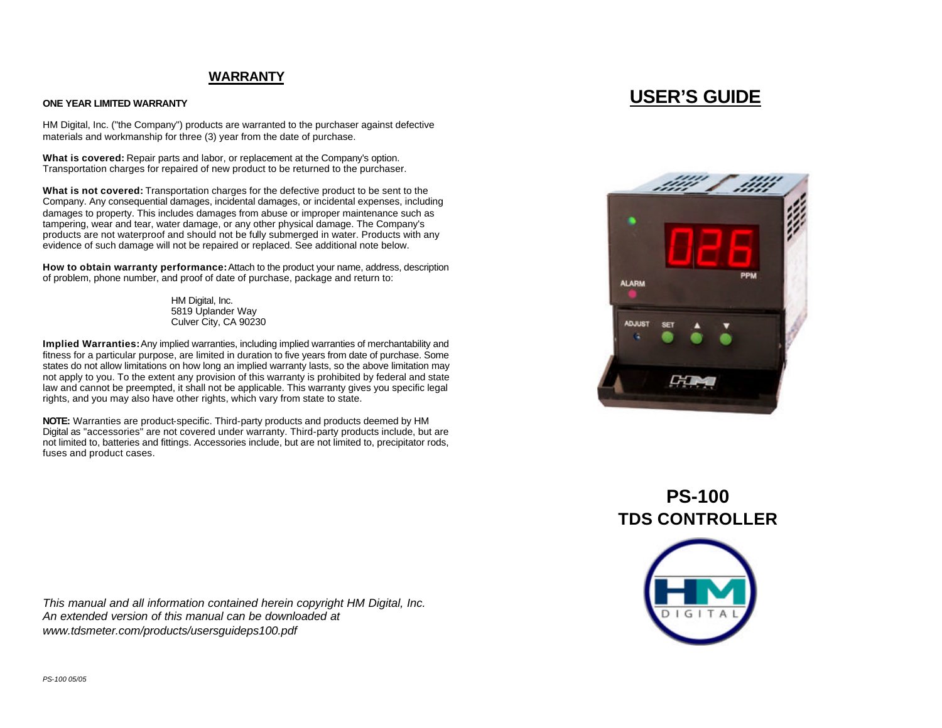## **WARRANTY**

### **ONE YEAR LIMITED WARRANTY**

HM Digital, Inc. ("the Company") products are warranted to the purchaser against defective materials and workmanship for three (3) year from the date of purchase.

**What is covered:** Repair parts and labor, or replacement at the Company's option. Transportation charges for repaired of new product to be returned to the purchaser.

**What is not covered:** Transportation charges for the defective product to be sent to the Company. Any consequential damages, incidental damages, or incidental expenses, including damages to property. This includes damages from abuse or improper maintenance such as tampering, wear and tear, water damage, or any other physical damage. The Company's products are not waterproof and should not be fully submerged in water. Products with any evidence of such damage will not be repaired or replaced. See additional note below.

**How to obtain warranty performance:** Attach to the product your name, address, description of problem, phone number, and proof of date of purchase, package and return to:

> HM Digital, Inc. 5819 Uplander Way Culver City, CA 90230

**Implied Warranties:** Any implied warranties, including implied warranties of merchantability and fitness for a particular purpose, are limited in duration to five years from date of purchase. Some states do not allow limitations on how long an implied warranty lasts, so the above limitation may not apply to you. To the extent any provision of this warranty is prohibited by federal and state law and cannot be preempted, it shall not be applicable. This warranty gives you specific legal rights, and you may also have other rights, which vary from state to state.

**NOTE:** Warranties are product-specific. Third-party products and products deemed by HM Digital as "accessories" are not covered under warranty. Third-party products include, but are not limited to, batteries and fittings. Accessories include, but are not limited to, precipitator rods, fuses and product cases.

*This manual and all information contained herein copyright HM Digital, Inc. An extended version of this manual can be downloaded at www.tdsmeter.com/products/usersguideps100.pdf*

# **USER'S GUIDE**



**PS-100 TDS CONTROLLER**